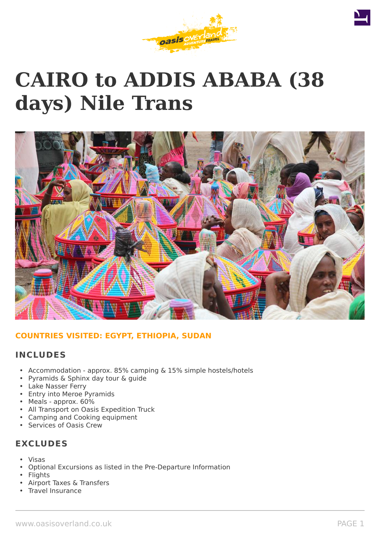

# **CAIRO to ADDIS ABABA (38 days) Nile Trans**



# **COUNTRIES VISITED: EGYPT, ETHIOPIA, SUDAN**

# **INCLUDES**

- Accommodation approx. 85% camping & 15% simple hostels/hotels
- Pyramids & Sphinx day tour & guide
- Lake Nasser Ferry
- Entry into Meroe Pyramids
- Meals approx. 60%
- All Transport on Oasis Expedition Truck
- Camping and Cooking equipment
- Services of Oasis Crew

# **EXCLUDES**

- Visas
- Optional Excursions as listed in the Pre-Departure Information
- Flights
- Airport Taxes & Transfers
- Travel Insurance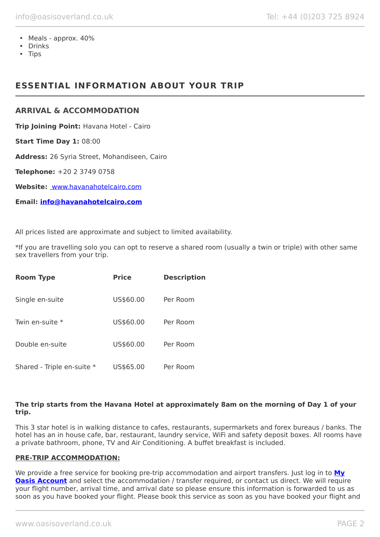- Meals approx. 40%
- Drinks
- Tips

# **ESSENTIAL INFORMATION ABOUT YOUR TRIP**

#### **ARRIVAL & ACCOMMODATION**

**Trip Joining Point:** Havana Hotel - Cairo

**Start Time Day 1:** 08:00

**Address:** 26 Syria Street, Mohandiseen, Cairo

**Telephone:** +20 2 3749 0758

**Website:** [www.havanahotelcairo.com](http://www.havanahotelcairo.com/)

**Email: [info@havanahotelcairo.com](mailto:info@havanahotelcairo.com)**

All prices listed are approximate and subject to limited availability.

\*If you are travelling solo you can opt to reserve a shared room (usually a twin or triple) with other same sex travellers from your trip.

| <b>Room Type</b>           | <b>Price</b> | <b>Description</b> |
|----------------------------|--------------|--------------------|
| Single en-suite            | US\$60.00    | Per Room           |
| Twin en-suite *            | US\$60.00    | Per Room           |
| Double en-suite            | US\$60.00    | Per Room           |
| Shared - Triple en-suite * | US\$65.00    | Per Room           |

#### **The trip starts from the Havana Hotel at approximately 8am on the morning of Day 1 of your trip.**

This 3 star hotel is in walking distance to cafes, restaurants, supermarkets and forex bureaus / banks. The hotel has an in house cafe, bar, restaurant, laundry service, WiFi and safety deposit boxes. All rooms have a private bathroom, phone, TV and Air Conditioning. A buffet breakfast is included.

#### **PRE-TRIP ACCOMMODATION:**

We provide a free service for booking pre-trip accommodation and airport transfers. Just log in to **[My](https://oasisportal.eecsoftware.com/login.php) [Oasis Account](https://oasisportal.eecsoftware.com/login.php)** and select the accommodation / transfer required, or contact us direct. We will require your flight number, arrival time, and arrival date so please ensure this information is forwarded to us as soon as you have booked your flight. Please book this service as soon as you have booked your flight and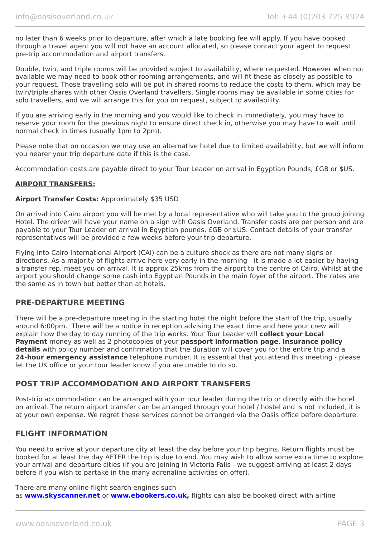no later than 6 weeks prior to departure, after which a late booking fee will apply. If you have booked through a travel agent you will not have an account allocated, so please contact your agent to request pre-trip accommodation and airport transfers.

Double, twin, and triple rooms will be provided subject to availability, where requested. However when not available we may need to book other rooming arrangements, and will fit these as closely as possible to your request. Those travelling solo will be put in shared rooms to reduce the costs to them, which may be twin/triple shares with other Oasis Overland travellers. Single rooms may be available in some cities for solo travellers, and we will arrange this for you on request, subject to availability.

If you are arriving early in the morning and you would like to check in immediately, you may have to reserve your room for the previous night to ensure direct check in, otherwise you may have to wait until normal check in times (usually 1pm to 2pm).

Please note that on occasion we may use an alternative hotel due to limited availability, but we will inform you nearer your trip departure date if this is the case.

Accommodation costs are payable direct to your Tour Leader on arrival in Egyptian Pounds, £GB or \$US.

#### **AIRPORT TRANSFERS:**

#### **Airport Transfer Costs:** Approximately \$35 USD

On arrival into Cairo airport you will be met by a local representative who will take you to the group joining Hotel. The driver will have your name on a sign with Oasis Overland. Transfer costs are per person and are payable to your Tour Leader on arrival in Egyptian pounds, £GB or \$US. Contact details of your transfer representatives will be provided a few weeks before your trip departure.

Flying into Cairo International Airport (CAI) can be a culture shock as there are not many signs or directions. As a majority of flights arrive here very early in the morning - it is made a lot easier by having a transfer rep. meet you on arrival. It is approx 25kms from the airport to the centre of Cairo. Whilst at the airport you should change some cash into Egyptian Pounds in the main foyer of the airport. The rates are the same as in town but better than at hotels.

#### **PRE-DEPARTURE MEETING**

There will be a pre-departure meeting in the starting hotel the night before the start of the trip, usually around 6:00pm. There will be a notice in reception advising the exact time and here your crew will explain how the day to day running of the trip works. Your Tour Leader will **collect your Local Payment** money as well as 2 photocopies of your **passport information page**, **insurance policy details** with policy number and confirmation that the duration will cover you for the entire trip and a **24-hour emergency assistance** telephone number. It is essential that you attend this meeting - please let the UK office or your tour leader know if you are unable to do so.

### **POST TRIP ACCOMMODATION AND AIRPORT TRANSFERS**

Post-trip accommodation can be arranged with your tour leader during the trip or directly with the hotel on arrival. The return airport transfer can be arranged through your hotel / hostel and is not included, it is at your own expense. We regret these services cannot be arranged via the Oasis office before departure.

### **FLIGHT INFORMATION**

You need to arrive at your departure city at least the day before your trip begins. Return flights must be booked for at least the day AFTER the trip is due to end. You may wish to allow some extra time to explore your arrival and departure cities (if you are joining in Victoria Falls - we suggest arriving at least 2 days before if you wish to partake in the many adrenaline activities on offer).

There are many online flight search engines such as **[www.skyscanner.net](http://www.dpbolvw.net/click-5720161-10639348)** or **[www.ebookers.co.uk,](http://www.ebookers.co.uk/)** flights can also be booked direct with airline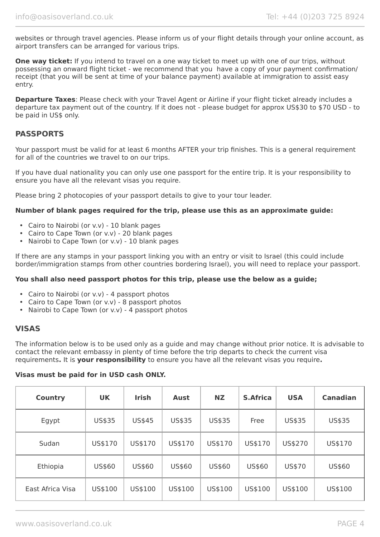websites or through travel agencies. Please inform us of your flight details through your online account, as airport transfers can be arranged for various trips.

**One way ticket:** If you intend to travel on a one way ticket to meet up with one of our trips, without possessing an onward flight ticket - we recommend that you have a copy of your payment confirmation/ receipt (that you will be sent at time of your balance payment) available at immigration to assist easy entry.

**Departure Taxes**: Please check with your Travel Agent or Airline if your flight ticket already includes a departure tax payment out of the country. If it does not - please budget for approx US\$30 to \$70 USD - to be paid in US\$ only.

# **PASSPORTS**

Your passport must be valid for at least 6 months AFTER your trip finishes. This is a general requirement for all of the countries we travel to on our trips.

If you have dual nationality you can only use one passport for the entire trip. It is your responsibility to ensure you have all the relevant visas you require.

Please bring 2 photocopies of your passport details to give to your tour leader.

#### **Number of blank pages required for the trip, please use this as an approximate guide:**

- Cairo to Nairobi (or v.v) 10 blank pages
- Cairo to Cape Town (or v.v) 20 blank pages
- Nairobi to Cape Town (or v.v) 10 blank pages

If there are any stamps in your passport linking you with an entry or visit to Israel (this could include border/immigration stamps from other countries bordering Israel), you will need to replace your passport.

#### **You shall also need passport photos for this trip, please use the below as a guide;**

- Cairo to Nairobi (or v.v) 4 passport photos
- Cairo to Cape Town (or v.v) 8 passport photos
- Nairobi to Cape Town (or v.v) 4 passport photos

### **VISAS**

The information below is to be used only as a guide and may change without prior notice. It is advisable to contact the relevant embassy in plenty of time before the trip departs to check the current visa requirements**.** It is **your responsibility** to ensure you have all the relevant visas you require**.**

#### **Visas must be paid for in USD cash ONLY.**

| <b>Country</b>   | <b>UK</b> | <b>Irish</b> | <b>Aust</b> | <b>NZ</b> | <b>S.Africa</b> | <b>USA</b> | <b>Canadian</b> |
|------------------|-----------|--------------|-------------|-----------|-----------------|------------|-----------------|
| Egypt            | US\$35    | US\$45       | US\$35      | US\$35    | Free            | US\$35     | US\$35          |
| Sudan            | US\$170   | US\$170      | US\$170     | US\$170   | US\$170         | US\$270    | US\$170         |
| Ethiopia         | US\$60    | US\$60       | US\$60      | US\$60    | US\$60          | US\$70     | US\$60          |
| East Africa Visa | US\$100   | US\$100      | US\$100     | US\$100   | US\$100         | US\$100    | US\$100         |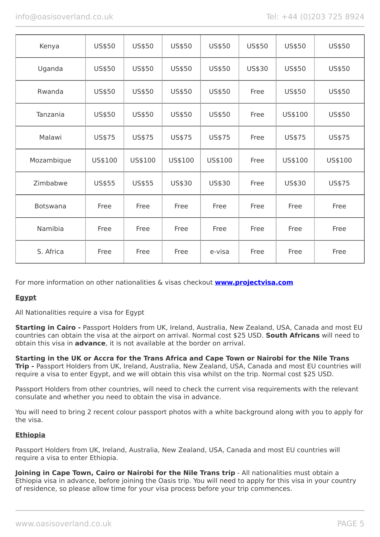| Kenya           | US\$50  | US\$50  | US\$50  | US\$50  | US\$50 | US\$50  | US\$50  |
|-----------------|---------|---------|---------|---------|--------|---------|---------|
| Uganda          | US\$50  | US\$50  | US\$50  | US\$50  | US\$30 | US\$50  | US\$50  |
| Rwanda          | US\$50  | US\$50  | US\$50  | US\$50  | Free   | US\$50  | US\$50  |
| Tanzania        | US\$50  | US\$50  | US\$50  | US\$50  | Free   | US\$100 | US\$50  |
| Malawi          | US\$75  | US\$75  | US\$75  | US\$75  | Free   | US\$75  | US\$75  |
| Mozambique      | US\$100 | US\$100 | US\$100 | US\$100 | Free   | US\$100 | US\$100 |
| Zimbabwe        | US\$55  | US\$55  | US\$30  | US\$30  | Free   | US\$30  | US\$75  |
| <b>Botswana</b> | Free    | Free    | Free    | Free    | Free   | Free    | Free    |
| Namibia         | Free    | Free    | Free    | Free    | Free   | Free    | Free    |
| S. Africa       | Free    | Free    | Free    | e-visa  | Free   | Free    | Free    |

For more information on other nationalities & visas checkout **[www.projectvisa.com](http://www.projectvisa.com/)**

### **Egypt**

All Nationalities require a visa for Egypt

**Starting in Cairo -** Passport Holders from UK, Ireland, Australia, New Zealand, USA, Canada and most EU countries can obtain the visa at the airport on arrival. Normal cost \$25 USD. **South Africans** will need to obtain this visa in **advance**, it is not available at the border on arrival.

**Starting in the UK or Accra for the Trans Africa and Cape Town or Nairobi for the Nile Trans Trip -** Passport Holders from UK, Ireland, Australia, New Zealand, USA, Canada and most EU countries will require a visa to enter Egypt, and we will obtain this visa whilst on the trip. Normal cost \$25 USD.

Passport Holders from other countries, will need to check the current visa requirements with the relevant consulate and whether you need to obtain the visa in advance.

You will need to bring 2 recent colour passport photos with a white background along with you to apply for the visa.

### **Ethiopia**

Passport Holders from UK, Ireland, Australia, New Zealand, USA, Canada and most EU countries will require a visa to enter Ethiopia.

**Joining in Cape Town, Cairo or Nairobi for the Nile Trans trip** - All nationalities must obtain a Ethiopia visa in advance, before joining the Oasis trip. You will need to apply for this visa in your country of residence, so please allow time for your visa process before your trip commences.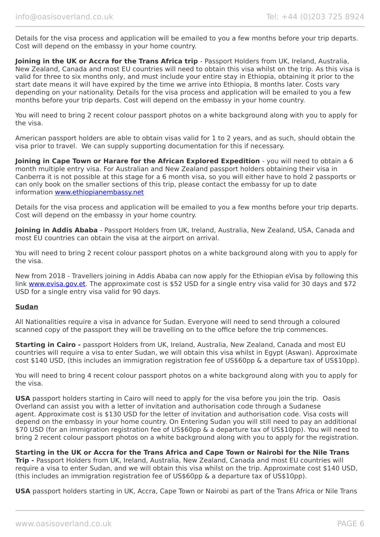Details for the visa process and application will be emailed to you a few months before your trip departs. Cost will depend on the embassy in your home country.

**Joining in the UK or Accra for the Trans Africa trip** - Passport Holders from UK, Ireland, Australia, New Zealand, Canada and most EU countries will need to obtain this visa whilst on the trip. As this visa is valid for three to six months only, and must include your entire stay in Ethiopia, obtaining it prior to the start date means it will have expired by the time we arrive into Ethiopia, 8 months later. Costs vary depending on your nationality. Details for the visa process and application will be emailed to you a few months before your trip departs. Cost will depend on the embassy in your home country.

You will need to bring 2 recent colour passport photos on a white background along with you to apply for the visa.

American passport holders are able to obtain visas valid for 1 to 2 years, and as such, should obtain the visa prior to travel. We can supply supporting documentation for this if necessary.

**Joining in Cape Town or Harare for the African Explored Expedition** - you will need to obtain a 6 month multiple entry visa. For Australian and New Zealand passport holders obtaining their visa in Canberra it is not possible at this stage for a 6 month visa, so you will either have to hold 2 passports or can only book on the smaller sections of this trip, please contact the embassy for up to date information [www.ethiopianembassy.net](http://www.ethiopianembassy.net/)

Details for the visa process and application will be emailed to you a few months before your trip departs. Cost will depend on the embassy in your home country.

**Joining in Addis Ababa** - Passport Holders from UK, Ireland, Australia, New Zealand, USA, Canada and most EU countries can obtain the visa at the airport on arrival.

You will need to bring 2 recent colour passport photos on a white background along with you to apply for the visa.

New from 2018 - Travellers joining in Addis Ababa can now apply for the Ethiopian eVisa by following this link [www.evisa.gov.et](https://www.evisa.gov.et/). The approximate cost is \$52 USD for a single entry visa valid for 30 days and \$72 USD for a single entry visa valid for 90 days.

#### **Sudan**

All Nationalities require a visa in advance for Sudan. Everyone will need to send through a coloured scanned copy of the passport they will be travelling on to the office before the trip commences.

**Starting in Cairo -** passport Holders from UK, Ireland, Australia, New Zealand, Canada and most EU countries will require a visa to enter Sudan, we will obtain this visa whilst in Egypt (Aswan). Approximate cost \$140 USD, (this includes an immigration registration fee of US\$60pp & a departure tax of US\$10pp).

You will need to bring 4 recent colour passport photos on a white background along with you to apply for the visa.

**USA** passport holders starting in Cairo will need to apply for the visa before you join the trip. Oasis Overland can assist you with a letter of invitation and authorisation code through a Sudanese agent. Approximate cost is \$130 USD for the letter of invitation and authorisation code. Visa costs will depend on the embassy in your home country. On Entering Sudan you will still need to pay an additional \$70 USD (for an immigration registration fee of US\$60pp & a departure tax of US\$10pp). You will need to bring 2 recent colour passport photos on a white background along with you to apply for the registration.

#### **Starting in the UK or Accra for the Trans Africa and Cape Town or Nairobi for the Nile Trans**

**Trip -** Passport Holders from UK, Ireland, Australia, New Zealand, Canada and most EU countries will require a visa to enter Sudan, and we will obtain this visa whilst on the trip. Approximate cost \$140 USD, (this includes an immigration registration fee of US\$60pp & a departure tax of US\$10pp).

**USA** passport holders starting in UK, Accra, Cape Town or Nairobi as part of the Trans Africa or Nile Trans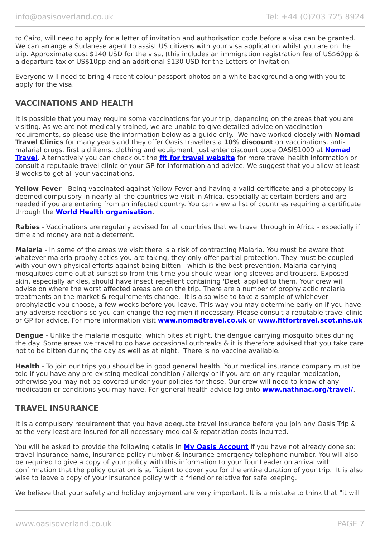to Cairo, will need to apply for a letter of invitation and authorisation code before a visa can be granted. We can arrange a Sudanese agent to assist US citizens with your visa application whilst you are on the trip. Approximate cost \$140 USD for the visa, (this includes an immigration registration fee of US\$60pp & a departure tax of US\$10pp and an additional \$130 USD for the Letters of Invitation.

Everyone will need to bring 4 recent colour passport photos on a white background along with you to apply for the visa.

# **VACCINATIONS AND HEALTH**

It is possible that you may require some vaccinations for your trip, depending on the areas that you are visiting. As we are not medically trained, we are unable to give detailed advice on vaccination requirements, so please use the information below as a guide only. We have worked closely with **Nomad Travel Clinics** for many years and they offer Oasis travellers a **10% discount** on vaccinations, antimalarial drugs, first aid items, clothing and equipment, just enter discount code OASIS1000 at **[Nomad](http://www.nomadtravel.co.uk/) [Travel](http://www.nomadtravel.co.uk/)**. Alternatively you can check out the **[fit for travel website](https://www.fitfortravel.nhs.uk/home)** for more travel health information or consult a reputable travel clinic or your GP for information and advice. We suggest that you allow at least 8 weeks to get all your vaccinations.

**Yellow Fever** - Being vaccinated against Yellow Fever and having a valid certificate and a photocopy is deemed compulsory in nearly all the countries we visit in Africa, especially at certain borders and are needed if you are entering from an infected country. You can view a list of countries requiring a certificate through the **[World Health organisation](http://www.who.int/ith/ITH_country_list.pdf)**.

**Rabies** - Vaccinations are regularly advised for all countries that we travel through in Africa - especially if time and money are not a deterrent.

**Malaria** - In some of the areas we visit there is a risk of contracting Malaria. You must be aware that whatever malaria prophylactics you are taking, they only offer partial protection. They must be coupled with your own physical efforts against being bitten - which is the best prevention. Malaria-carrying mosquitoes come out at sunset so from this time you should wear long sleeves and trousers. Exposed skin, especially ankles, should have insect repellent containing 'Deet' applied to them. Your crew will advise on where the worst affected areas are on the trip. There are a number of prophylactic malaria treatments on the market & requirements change. It is also wise to take a sample of whichever prophylactic you choose, a few weeks before you leave. This way you may determine early on if you have any adverse reactions so you can change the regimen if necessary. Please consult a reputable travel clinic or GP for advice. For more information visit **[www.nomadtravel.co.uk](http://www.nomadtravel.co.uk/)** or **[www.fitfortravel.scot.nhs.uk](http://www.fitfortravel.scot.nhs.uk/)**

**Dengue** - Unlike the malaria mosquito, which bites at night, the dengue carrying mosquito bites during the day. Some areas we travel to do have occasional outbreaks & it is therefore advised that you take care not to be bitten during the day as well as at night. There is no vaccine available.

**Health** - To join our trips you should be in good general health. Your medical insurance company must be told if you have any pre-existing medical condition / allergy or if you are on any regular medication, otherwise you may not be covered under your policies for these. Our crew will need to know of any medication or conditions you may have. For general health advice log onto **[www.nathnac.org/travel/](http://www.nathnac.org/travel/)**.

### **TRAVEL INSURANCE**

It is a compulsory requirement that you have adequate travel insurance before you join any Oasis Trip & at the very least are insured for all necessary medical & repatriation costs incurred.

You will be asked to provide the following details in **My [Oasis Account](https://oasisportal.eecsoftware.com/)** if you have not already done so: travel insurance name, insurance policy number & insurance emergency telephone number. You will also be required to give a copy of your policy with this information to your Tour Leader on arrival with confirmation that the policy duration is sufficient to cover you for the entire duration of your trip. It is also wise to leave a copy of your insurance policy with a friend or relative for safe keeping.

We believe that your safety and holiday enjoyment are very important. It is a mistake to think that "it will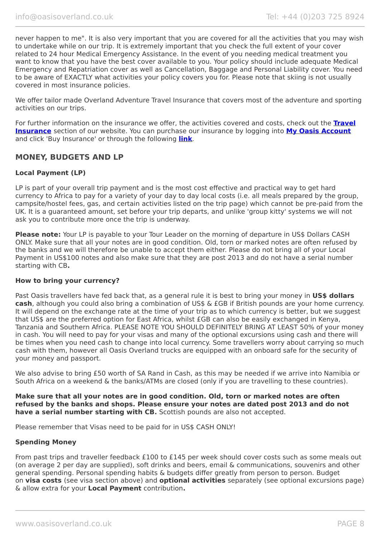never happen to me". It is also very important that you are covered for all the activities that you may wish to undertake while on our trip. It is extremely important that you check the full extent of your cover related to 24 hour Medical Emergency Assistance. In the event of you needing medical treatment you want to know that you have the best cover available to you. Your policy should include adequate Medical Emergency and Repatriation cover as well as Cancellation, Baggage and Personal Liability cover. You need to be aware of EXACTLY what activities your policy covers you for. Please note that skiing is not usually covered in most insurance policies.

We offer tailor made Overland Adventure Travel Insurance that covers most of the adventure and sporting activities on our trips.

For further information on the insurance we offer, the activities covered and costs, check out the **[Travel](https://www.oasisoverland.co.uk/travel-insurance) [Insurance](https://www.oasisoverland.co.uk/travel-insurance)** section of our website. You can purchase our insurance by logging into **[My Oasis Account](https://oasisportal.eecsoftware.com/)** and click 'Buy Insurance' or through the following **[link](https://www.campbellirvinedirect.com/oasisoverland/)**.

# **MONEY, BUDGETS AND LP**

#### **Local Payment (LP)**

LP is part of your overall trip payment and is the most cost effective and practical way to get hard currency to Africa to pay for a variety of your day to day local costs (i.e. all meals prepared by the group, campsite/hostel fees, gas, and certain activities listed on the trip page) which cannot be pre-paid from the UK. It is a guaranteed amount, set before your trip departs, and unlike 'group kitty' systems we will not ask you to contribute more once the trip is underway.

**Please note:** Your LP is payable to your Tour Leader on the morning of departure in US\$ Dollars CASH ONLY. Make sure that all your notes are in good condition. Old, torn or marked notes are often refused by the banks and we will therefore be unable to accept them either. Please do not bring all of your Local Payment in US\$100 notes and also make sure that they are post 2013 and do not have a serial number starting with CB**.**

#### **How to bring your currency?**

Past Oasis travellers have fed back that, as a general rule it is best to bring your money in US\$ dollars **cash**, although you could also bring a combination of US\$ & £GB if British pounds are your home currency. It will depend on the exchange rate at the time of your trip as to which currency is better, but we suggest that US\$ are the preferred option for East Africa, whilst £GB can also be easily exchanged in Kenya, Tanzania and Southern Africa. PLEASE NOTE YOU SHOULD DEFINITELY BRING AT LEAST 50% of your money in cash. You will need to pay for your visas and many of the optional excursions using cash and there will be times when you need cash to change into local currency. Some travellers worry about carrying so much cash with them, however all Oasis Overland trucks are equipped with an onboard safe for the security of your money and passport.

We also advise to bring £50 worth of SA Rand in Cash, as this may be needed if we arrive into Namibia or South Africa on a weekend & the banks/ATMs are closed (only if you are travelling to these countries).

**Make sure that all your notes are in good condition. Old, torn or marked notes are often refused by the banks and shops. Please ensure your notes are dated post 2013 and do not have a serial number starting with CB.** Scottish pounds are also not accepted.

Please remember that Visas need to be paid for in US\$ CASH ONLY!

#### **Spending Money**

From past trips and traveller feedback £100 to £145 per week should cover costs such as some meals out (on average 2 per day are supplied), soft drinks and beers, email & communications, souvenirs and other general spending. Personal spending habits & budgets differ greatly from person to person. Budget on **visa costs** (see visa section above) and **optional activities** separately (see optional excursions page) & allow extra for your **Local Payment** contribution**.**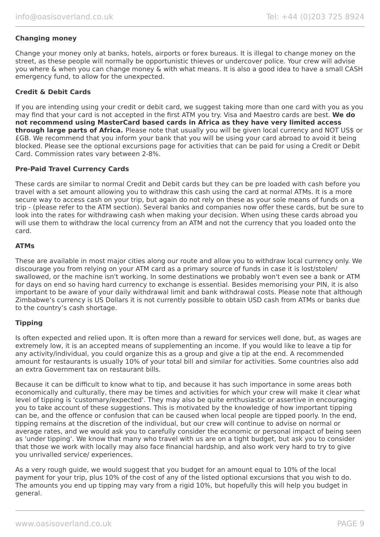#### **Changing money**

Change your money only at banks, hotels, airports or forex bureaus. It is illegal to change money on the street, as these people will normally be opportunistic thieves or undercover police. Your crew will advise you where & when you can change money & with what means. It is also a good idea to have a small CASH emergency fund, to allow for the unexpected.

#### **Credit & Debit Cards**

If you are intending using your credit or debit card, we suggest taking more than one card with you as you may find that your card is not accepted in the first ATM you try. Visa and Maestro cards are best. **We do not recommend using MasterCard based cards in Africa as they have very limited access through large parts of Africa.** Please note that usually you will be given local currency and NOT US\$ or £GB. We recommend that you inform your bank that you will be using your card abroad to avoid it being blocked. Please see the optional excursions page for activities that can be paid for using a Credit or Debit Card. Commission rates vary between 2-8%.

#### **Pre-Paid Travel Currency Cards**

These cards are similar to normal Credit and Debit cards but they can be pre loaded with cash before you travel with a set amount allowing you to withdraw this cash using the card at normal ATMs. It is a more secure way to access cash on your trip, but again do not rely on these as your sole means of funds on a trip - (please refer to the ATM section). Several banks and companies now offer these cards, but be sure to look into the rates for withdrawing cash when making your decision. When using these cards abroad you will use them to withdraw the local currency from an ATM and not the currency that you loaded onto the card.

#### **ATMs**

These are available in most major cities along our route and allow you to withdraw local currency only. We discourage you from relying on your ATM card as a primary source of funds in case it is lost/stolen/ swallowed, or the machine isn't working. In some destinations we probably won't even see a bank or ATM for days on end so having hard currency to exchange is essential. Besides memorising your PIN, it is also important to be aware of your daily withdrawal limit and bank withdrawal costs. Please note that although Zimbabwe's currency is US Dollars it is not currently possible to obtain USD cash from ATMs or banks due to the country's cash shortage.

### **Tipping**

Is often expected and relied upon. It is often more than a reward for services well done, but, as wages are extremely low, it is an accepted means of supplementing an income. If you would like to leave a tip for any activity/individual, you could organize this as a group and give a tip at the end. A recommended amount for restaurants is usually 10% of your total bill and similar for activities. Some countries also add an extra Government tax on restaurant bills.

Because it can be difficult to know what to tip, and because it has such importance in some areas both economically and culturally, there may be times and activities for which your crew will make it clear what level of tipping is 'customary/expected'. They may also be quite enthusiastic or assertive in encouraging you to take account of these suggestions. This is motivated by the knowledge of how important tipping can be, and the offence or confusion that can be caused when local people are tipped poorly. In the end, tipping remains at the discretion of the individual, but our crew will continue to advise on normal or average rates, and we would ask you to carefully consider the economic or personal impact of being seen as 'under tipping'. We know that many who travel with us are on a tight budget, but ask you to consider that those we work with locally may also face financial hardship, and also work very hard to try to give you unrivalled service/ experiences.

As a very rough guide, we would suggest that you budget for an amount equal to 10% of the local payment for your trip, plus 10% of the cost of any of the listed optional excursions that you wish to do. The amounts you end up tipping may vary from a rigid 10%, but hopefully this will help you budget in general.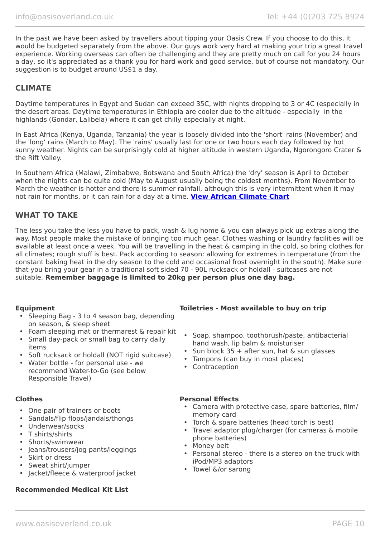In the past we have been asked by travellers about tipping your Oasis Crew. If you choose to do this, it would be budgeted separately from the above. Our guys work very hard at making your trip a great travel experience. Working overseas can often be challenging and they are pretty much on call for you 24 hours a day, so it's appreciated as a thank you for hard work and good service, but of course not mandatory. Our suggestion is to budget around US\$1 a day.

# **CLIMATE**

Daytime temperatures in Egypt and Sudan can exceed 35C, with nights dropping to 3 or 4C (especially in the desert areas. Daytime temperatures in Ethiopia are cooler due to the altitude - especially in the highlands (Gondar, Lalibela) where it can get chilly especially at night.

In East Africa (Kenya, Uganda, Tanzania) the year is loosely divided into the 'short' rains (November) and the 'long' rains (March to May). The 'rains' usually last for one or two hours each day followed by hot sunny weather. Nights can be surprisingly cold at higher altitude in western Uganda, Ngorongoro Crater & the Rift Valley.

In Southern Africa (Malawi, Zimbabwe, Botswana and South Africa) the 'dry' season is April to October when the nights can be quite cold (May to August usually being the coldest months). From November to March the weather is hotter and there is summer rainfall, although this is very intermittent when it may not rain for months, or it can rain for a day at a time. **[View African Climate Chart](https://www.oasisoverland.co.uk/trans-africa-climate-chart)**

### **WHAT TO TAKE**

The less you take the less you have to pack, wash & lug home & you can always pick up extras along the way. Most people make the mistake of bringing too much gear. Clothes washing or laundry facilities will be available at least once a week. You will be travelling in the heat & camping in the cold, so bring clothes for all climates; rough stuff is best. Pack according to season: allowing for extremes in temperature (from the constant baking heat in the dry season to the cold and occasional frost overnight in the south). Make sure that you bring your gear in a traditional soft sided 70 - 90L rucksack or holdall - suitcases are not suitable. **Remember baggage is limited to 20kg per person plus one day bag.**

- Sleeping Bag 3 to 4 season bag, depending on season, & sleep sheet
- Foam sleeping mat or thermarest & repair kit
- Small day-pack or small bag to carry daily items
- Soft rucksack or holdall (NOT rigid suitcase)
- Water bottle for personal use we recommend Water-to-Go (see below Responsible Travel)

- One pair of trainers or boots
- Sandals/flip flops/jandals/thongs
- Underwear/socks
- T shirts/shirts
- Shorts/swimwear
- Jeans/trousers/jog pants/leggings
- Skirt or dress
- Sweat shirt/jumper
- Jacket/fleece & waterproof jacket

### **Recommended Medical Kit List**

### **Equipment Toiletries - Most available to buy on trip**

- Soap, shampoo, toothbrush/paste, antibacterial hand wash, lip balm & moisturiser
- Sun block 35 + after sun, hat & sun glasses
- Tampons (can buy in most places)
- Contraception

#### **Clothes Personal Effects**

- Camera with protective case, spare batteries, film/ memory card
- Torch & spare batteries (head torch is best)
- Travel adaptor plug/charger (for cameras & mobile phone batteries)
- Money belt
- Personal stereo there is a stereo on the truck with iPod/MP3 adaptors
- Towel &/or sarong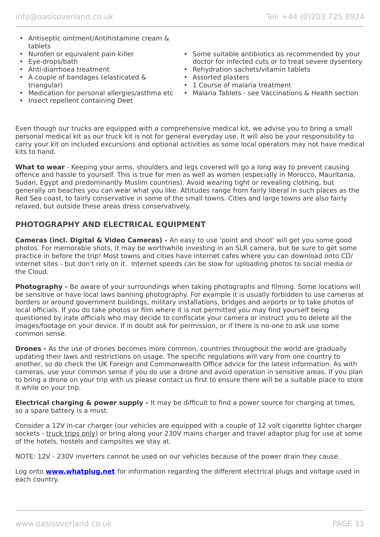- Antiseptic ointment/Antihistamine cream & tablets
- Nurofen or equivalent pain-killer
- Eye-drops/bath
- Anti-diarrhoea treatment
- A couple of bandages (elasticated & triangular)
- Medication for personal allergies/asthma etc
- Insect repellent containing Deet
- Some suitable antibiotics as recommended by your doctor for infected cuts or to treat severe dysentery
- Rehydration sachets/vitamin tablets
- Assorted plasters
- 1 Course of malaria treatment
- Malaria Tablets see Vaccinations & Health section

Even though our trucks are equipped with a comprehensive medical kit, we advise you to bring a small personal medical kit as our truck kit is not for general everyday use. It will also be your responsibility to carry your kit on included excursions and optional activities as some local operators may not have medical kits to hand.

**What to wear** - Keeping your arms, shoulders and legs covered will go a long way to prevent causing offence and hassle to yourself. This is true for men as well as women (especially in Morocco, Mauritania, Sudan, Egypt and predominantly Muslim countries). Avoid wearing tight or revealing clothing, but generally on beaches you can wear what you like. Attitudes range from fairly liberal in such places as the Red Sea coast, to fairly conservative in some of the small towns. Cities and large towns are also fairly relaxed, but outside these areas dress conservatively.

# **PHOTOGRAPHY AND ELECTRICAL EQUIPMENT**

**Cameras (incl. Digital & Video Cameras) -** An easy to use 'point and shoot' will get you some good photos. For memorable shots, it may be worthwhile investing in an SLR camera, but be sure to get some practice in before the trip! Most towns and cities have internet cafes where you can download onto CD/ internet sites - but don't rely on it. Internet speeds can be slow for uploading photos to social media or the Cloud.

**Photography -** Be aware of your surroundings when taking photographs and filming. Some locations will be sensitive or have local laws banning photography. For example it is usually forbidden to use cameras at borders or around government buildings, military installations, bridges and airports or to take photos of local officials. If you do take photos or film where it is not permitted you may find yourself being questioned by irate officials who may decide to confiscate your camera or instruct you to delete all the images/footage on your device. If in doubt ask for permission, or if there is no-one to ask use some common sense.

**Drones -** As the use of drones becomes more common, countries throughout the world are gradually updating their laws and restrictions on usage. The specific regulations will vary from one country to another, so do check the UK Foreign and Commonwealth Office advice for the latest information. As with cameras, use your common sense if you do use a drone and avoid operation in sensitive areas. If you plan to bring a drone on your trip with us please contact us first to ensure there will be a suitable place to store it while on your trip.

**Electrical charging & power supply -** It may be difficult to find a power source for charging at times, so a spare battery is a must.

Consider a 12V in-car charger (our vehicles are equipped with a couple of 12 volt cigarette lighter charger sockets - truck trips only) or bring along your 230V mains charger and travel adaptor plug for use at some of the hotels, hostels and campsites we stay at.

NOTE: 12V - 230V inverters cannot be used on our vehicles because of the power drain they cause.

Log onto **[www.whatplug.net](http://www.whatplug.net/)** for information regarding the different electrical plugs and voltage used in each country.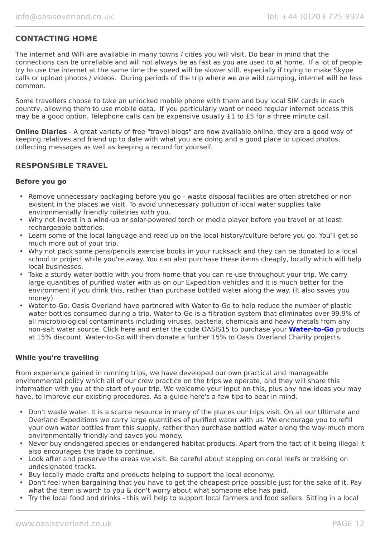# **CONTACTING HOME**

The internet and WiFi are available in many towns / cities you will visit. Do bear in mind that the connections can be unreliable and will not always be as fast as you are used to at home. If a lot of people try to use the internet at the same time the speed will be slower still, especially if trying to make Skype calls or upload photos / videos. During periods of the trip where we are wild camping, internet will be less common.

Some travellers choose to take an unlocked mobile phone with them and buy local SIM cards in each country, allowing them to use mobile data. If you particularly want or need regular internet access this may be a good option. Telephone calls can be expensive usually £1 to £5 for a three minute call.

**Online Diaries** - A great variety of free "travel blogs" are now available online, they are a good way of keeping relatives and friend up to date with what you are doing and a good place to upload photos, collecting messages as well as keeping a record for yourself.

## **RESPONSIBLE TRAVEL**

#### **Before you go**

- Remove unnecessary packaging before you go waste disposal facilities are often stretched or non existent in the places we visit. To avoid unnecessary pollution of local water supplies take environmentally friendly toiletries with you.
- Why not invest in a wind-up or solar-powered torch or media player before you travel or at least rechargeable batteries.
- Learn some of the local language and read up on the local history/culture before you go. You'll get so much more out of your trip.
- Why not pack some pens/pencils exercise books in your rucksack and they can be donated to a local school or project while you're away. You can also purchase these items cheaply, locally which will help local businesses.
- Take a sturdy water bottle with you from home that you can re-use throughout your trip. We carry large quantities of purified water with us on our Expedition vehicles and it is much better for the environment if you drink this, rather than purchase bottled water along the way. (It also saves you money).
- Water-to-Go: Oasis Overland have partnered with Water-to-Go to help reduce the number of plastic water bottles consumed during a trip. Water-to-Go is a filtration system that eliminates over 99.9% of all microbiological contaminants including viruses, bacteria, chemicals and heavy metals from any non-salt water source. Click here and enter the code OASIS15 to purchase your **[Water-to-Go](https://watertogo.eu/partnerships/oasisoverland/)** products at 15% discount. Water-to-Go will then donate a further 15% to Oasis Overland Charity projects.

#### **While you're travelling**

From experience gained in running trips, we have developed our own practical and manageable environmental policy which all of our crew practice on the trips we operate, and they will share this information with you at the start of your trip. We welcome your input on this, plus any new ideas you may have, to improve our existing procedures. As a guide here's a few tips to bear in mind.

- Don't waste water. It is a scarce resource in many of the places our trips visit. On all our Ultimate and Overland Expeditions we carry large quantities of purified water with us. We encourage you to refill your own water bottles from this supply, rather than purchase bottled water along the way-much more environmentally friendly and saves you money.
- Never buy endangered species or endangered habitat products. Apart from the fact of it being illegal it also encourages the trade to continue.
- Look after and preserve the areas we visit. Be careful about stepping on coral reefs or trekking on undesignated tracks.
- Buy locally made crafts and products helping to support the local economy.
- Don't feel when bargaining that you have to get the cheapest price possible just for the sake of it. Pay what the item is worth to you & don't worry about what someone else has paid.
- Try the local food and drinks this will help to support local farmers and food sellers. Sitting in a local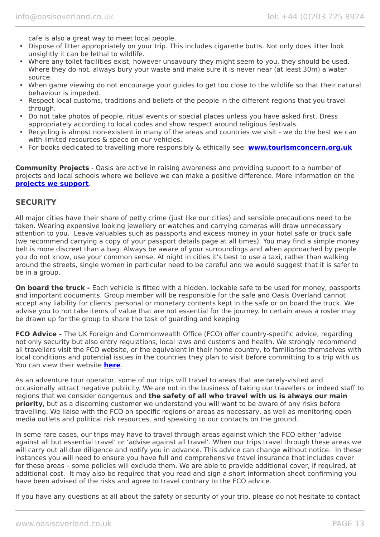cafe is also a great way to meet local people.

- Dispose of litter appropriately on your trip. This includes cigarette butts. Not only does litter look unsightly it can be lethal to wildlife.
- Where any toilet facilities exist, however unsavoury they might seem to you, they should be used. Where they do not, always bury your waste and make sure it is never near (at least 30m) a water source.
- When game viewing do not encourage your guides to get too close to the wildlife so that their natural behaviour is impeded.
- Respect local customs, traditions and beliefs of the people in the different regions that you travel through.
- Do not take photos of people, ritual events or special places unless you have asked first. Dress appropriately according to local codes and show respect around religious festivals.
- Recycling is almost non-existent in many of the areas and countries we visit we do the best we can with limited resources & space on our vehicles.
- For books dedicated to travelling more responsibly & ethically see: **[www.tourismconcern.org.uk](https://www.tourismconcern.org.uk/)**

**Community Projects** - Oasis are active in raising awareness and providing support to a number of projects and local schools where we believe we can make a positive difference. More information on the **[projects we support](https://www.oasisoverland.co.uk/responsible-travel/charities-we-support)**.

### **SECURITY**

All major cities have their share of petty crime (just like our cities) and sensible precautions need to be taken. Wearing expensive looking jewellery or watches and carrying cameras will draw unnecessary attention to you. Leave valuables such as passports and excess money in your hotel safe or truck safe (we recommend carrying a copy of your passport details page at all times). You may find a simple money belt is more discreet than a bag. Always be aware of your surroundings and when approached by people you do not know, use your common sense. At night in cities it's best to use a taxi, rather than walking around the streets, single women in particular need to be careful and we would suggest that it is safer to be in a group.

**On board the truck -** Each vehicle is fitted with a hidden, lockable safe to be used for money, passports and important documents. Group member will be responsible for the safe and Oasis Overland cannot accept any liability for clients' personal or monetary contents kept in the safe or on board the truck. We advise you to not take items of value that are not essential for the journey. In certain areas a roster may be drawn up for the group to share the task of guarding and keeping

**FCO Advice -** The UK Foreign and Commonwealth Office (FCO) offer country-specific advice, regarding not only security but also entry regulations, local laws and customs and health. We strongly recommend all travellers visit the FCO website, or the equivalent in their home country, to familiarise themselves with local conditions and potential issues in the countries they plan to visit before committing to a trip with us. You can view their website **[here](https://www.gov.uk/foreign-travel-advice)**.

As an adventure tour operator, some of our trips will travel to areas that are rarely-visited and occasionally attract negative publicity. We are not in the business of taking our travellers or indeed staff to regions that we consider dangerous and **the safety of all who travel with us is always our main priority**, but as a discerning customer we understand you will want to be aware of any risks before travelling. We liaise with the FCO on specific regions or areas as necessary, as well as monitoring open media outlets and political risk resources, and speaking to our contacts on the ground.

In some rare cases, our trips may have to travel through areas against which the FCO either 'advise against all but essential travel' or 'advise against all travel'. When our trips travel through these areas we will carry out all due diligence and notify you in advance. This advice can change without notice. In these instances you will need to ensure you have full and comprehensive travel insurance that includes cover for these areas – some policies will exclude them. We are able to provide additional cover, if required, at additional cost. It may also be required that you read and sign a short information sheet confirming you have been advised of the risks and agree to travel contrary to the FCO advice.

If you have any questions at all about the safety or security of your trip, please do not hesitate to contact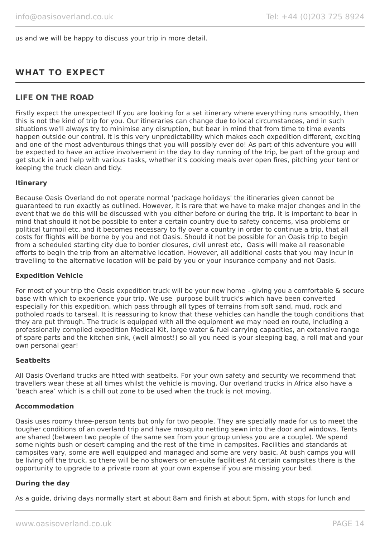us and we will be happy to discuss your trip in more detail.

# **WHAT TO EXPECT**

# **LIFE ON THE ROAD**

Firstly expect the unexpected! If you are looking for a set itinerary where everything runs smoothly, then this is not the kind of trip for you. Our itineraries can change due to local circumstances, and in such situations we'll always try to minimise any disruption, but bear in mind that from time to time events happen outside our control. It is this very unpredictability which makes each expedition different, exciting and one of the most adventurous things that you will possibly ever do! As part of this adventure you will be expected to have an active involvement in the day to day running of the trip, be part of the group and get stuck in and help with various tasks, whether it's cooking meals over open fires, pitching your tent or keeping the truck clean and tidy.

#### **Itinerary**

Because Oasis Overland do not operate normal 'package holidays' the itineraries given cannot be guaranteed to run exactly as outlined. However, it is rare that we have to make major changes and in the event that we do this will be discussed with you either before or during the trip. It is important to bear in mind that should it not be possible to enter a certain country due to safety concerns, visa problems or political turmoil etc, and it becomes necessary to fly over a country in order to continue a trip, that all costs for flights will be borne by you and not Oasis. Should it not be possible for an Oasis trip to begin from a scheduled starting city due to border closures, civil unrest etc, Oasis will make all reasonable efforts to begin the trip from an alternative location. However, all additional costs that you may incur in travelling to the alternative location will be paid by you or your insurance company and not Oasis.

#### **Expedition Vehicle**

For most of your trip the Oasis expedition truck will be your new home - giving you a comfortable & secure base with which to experience your trip. We use purpose built truck's which have been converted especially for this expedition, which pass through all types of terrains from soft sand, mud, rock and potholed roads to tarseal. It is reassuring to know that these vehicles can handle the tough conditions that they are put through. The truck is equipped with all the equipment we may need en route, including a professionally compiled expedition Medical Kit, large water & fuel carrying capacities, an extensive range of spare parts and the kitchen sink, (well almost!) so all you need is your sleeping bag, a roll mat and your own personal gear!

#### **Seatbelts**

All Oasis Overland trucks are fitted with seatbelts. For your own safety and security we recommend that travellers wear these at all times whilst the vehicle is moving. Our overland trucks in Africa also have a 'beach area' which is a chill out zone to be used when the truck is not moving.

#### **Accommodation**

Oasis uses roomy three-person tents but only for two people. They are specially made for us to meet the tougher conditions of an overland trip and have mosquito netting sewn into the door and windows. Tents are shared (between two people of the same sex from your group unless you are a couple). We spend some nights bush or desert camping and the rest of the time in campsites. Facilities and standards at campsites vary, some are well equipped and managed and some are very basic. At bush camps you will be living off the truck, so there will be no showers or en-suite facilities! At certain campsites there is the opportunity to upgrade to a private room at your own expense if you are missing your bed.

#### **During the day**

As a guide, driving days normally start at about 8am and finish at about 5pm, with stops for lunch and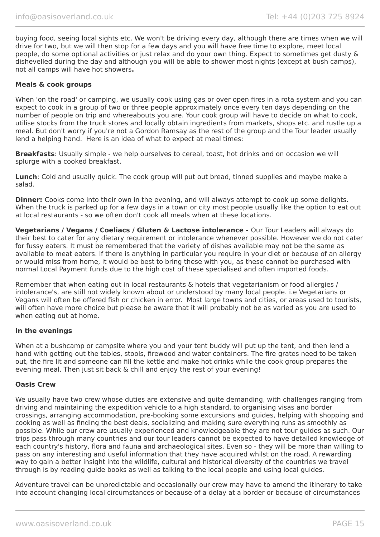buying food, seeing local sights etc. We won't be driving every day, although there are times when we will drive for two, but we will then stop for a few days and you will have free time to explore, meet local people, do some optional activities or just relax and do your own thing. Expect to sometimes get dusty & dishevelled during the day and although you will be able to shower most nights (except at bush camps), not all camps will have hot showers**.**

#### **Meals & cook groups**

When 'on the road' or camping, we usually cook using gas or over open fires in a rota system and you can expect to cook in a group of two or three people approximately once every ten days depending on the number of people on trip and whereabouts you are. Your cook group will have to decide on what to cook, utilise stocks from the truck stores and locally obtain ingredients from markets, shops etc. and rustle up a meal. But don't worry if you're not a Gordon Ramsay as the rest of the group and the Tour leader usually lend a helping hand. Here is an idea of what to expect at meal times:

**Breakfasts**: Usually simple - we help ourselves to cereal, toast, hot drinks and on occasion we will splurge with a cooked breakfast.

**Lunch**: Cold and usually quick. The cook group will put out bread, tinned supplies and maybe make a salad.

**Dinner:** Cooks come into their own in the evening, and will always attempt to cook up some delights. When the truck is parked up for a few days in a town or city most people usually like the option to eat out at local restaurants - so we often don't cook all meals when at these locations.

**Vegetarians / Vegans / Coeliacs / Gluten & Lactose intolerance -** Our Tour Leaders will always do their best to cater for any dietary requirement or intolerance whenever possible. However we do not cater for fussy eaters. It must be remembered that the variety of dishes available may not be the same as available to meat eaters. If there is anything in particular you require in your diet or because of an allergy or would miss from home, it would be best to bring these with you, as these cannot be purchased with normal Local Payment funds due to the high cost of these specialised and often imported foods.

Remember that when eating out in local restaurants & hotels that vegetarianism or food allergies / intolerance's, are still not widely known about or understood by many local people. i.e Vegetarians or Vegans will often be offered fish or chicken in error. Most large towns and cities, or areas used to tourists, will often have more choice but please be aware that it will probably not be as varied as you are used to when eating out at home.

#### **In the evenings**

When at a bushcamp or campsite where you and your tent buddy will put up the tent, and then lend a hand with getting out the tables, stools, firewood and water containers. The fire grates need to be taken out, the fire lit and someone can fill the kettle and make hot drinks while the cook group prepares the evening meal. Then just sit back & chill and enjoy the rest of your evening!

#### **Oasis Crew**

We usually have two crew whose duties are extensive and quite demanding, with challenges ranging from driving and maintaining the expedition vehicle to a high standard, to organising visas and border crossings, arranging accommodation, pre-booking some excursions and guides, helping with shopping and cooking as well as finding the best deals, socializing and making sure everything runs as smoothly as possible. While our crew are usually experienced and knowledgeable they are not tour guides as such. Our trips pass through many countries and our tour leaders cannot be expected to have detailed knowledge of each country's history, flora and fauna and archaeological sites. Even so - they will be more than willing to pass on any interesting and useful information that they have acquired whilst on the road. A rewarding way to gain a better insight into the wildlife, cultural and historical diversity of the countries we travel through is by reading guide books as well as talking to the local people and using local guides.

Adventure travel can be unpredictable and occasionally our crew may have to amend the itinerary to take into account changing local circumstances or because of a delay at a border or because of circumstances